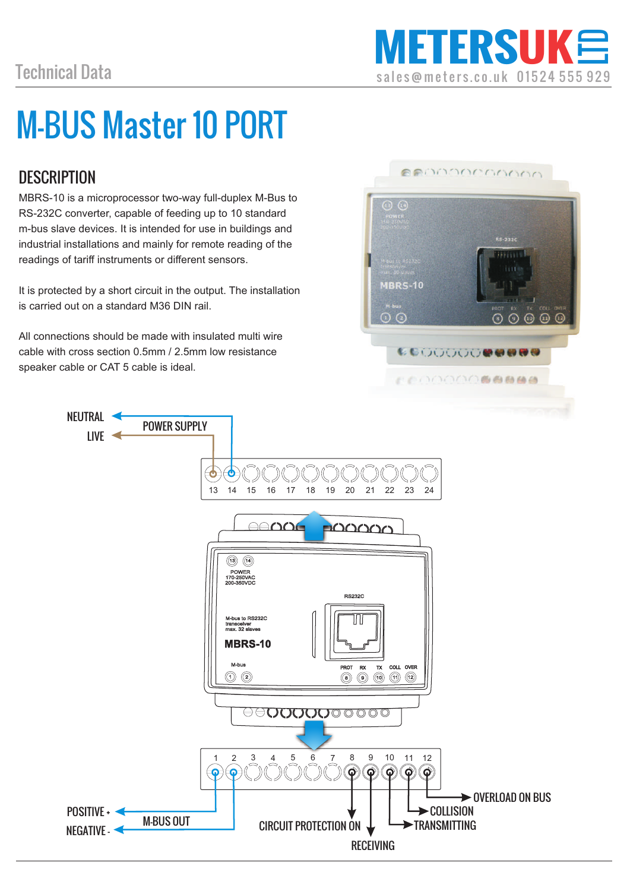# M-BUS Master 10 PORT

## **DESCRIPTION**

MBRS-10 is a microprocessor two-way full-duplex M-Bus to RS-232C converter, capable of feeding up to 10 standard m-bus slave devices. It is intended for use in buildings and industrial installations and mainly for remote reading of the readings of tariff instruments or different sensors.

It is protected by a short circuit in the output. The installation is carried out on a standard M36 DIN rail.

All connections should be made with insulated multi wire cable with cross section 0.5mm / 2.5mm low resistance speaker cable or CAT 5 cable is ideal.